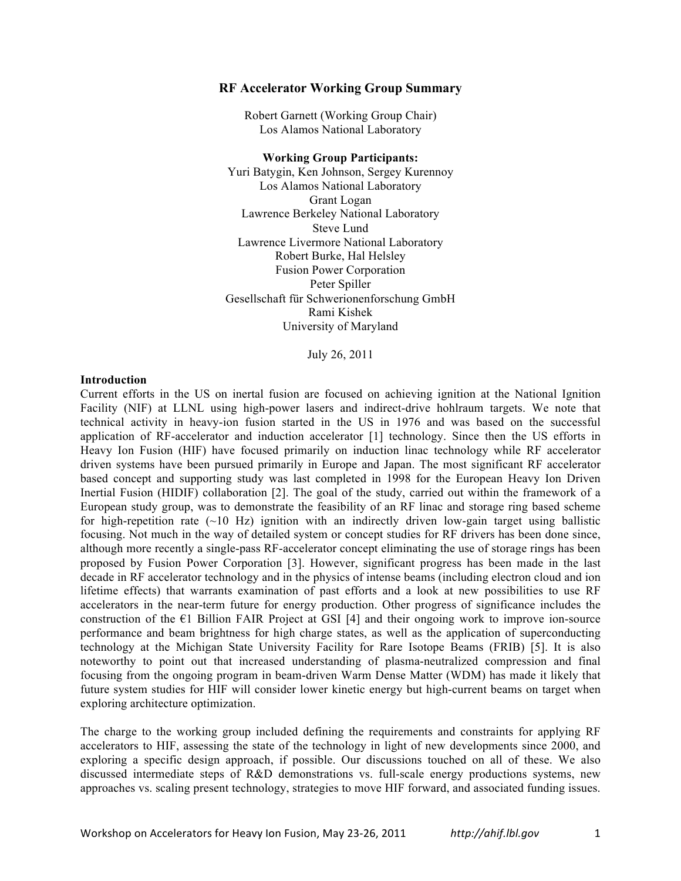## **RF Accelerator Working Group Summary**

Robert Garnett (Working Group Chair) Los Alamos National Laboratory

**Working Group Participants:** Yuri Batygin, Ken Johnson, Sergey Kurennoy Los Alamos National Laboratory Grant Logan Lawrence Berkeley National Laboratory Steve Lund Lawrence Livermore National Laboratory Robert Burke, Hal Helsley Fusion Power Corporation Peter Spiller Gesellschaft für Schwerionenforschung GmbH Rami Kishek University of Maryland

July 26, 2011

#### **Introduction**

Current efforts in the US on inertal fusion are focused on achieving ignition at the National Ignition Facility (NIF) at LLNL using high-power lasers and indirect-drive hohlraum targets. We note that technical activity in heavy-ion fusion started in the US in 1976 and was based on the successful application of RF-accelerator and induction accelerator [1] technology. Since then the US efforts in Heavy Ion Fusion (HIF) have focused primarily on induction linac technology while RF accelerator driven systems have been pursued primarily in Europe and Japan. The most significant RF accelerator based concept and supporting study was last completed in 1998 for the European Heavy Ion Driven Inertial Fusion (HIDIF) collaboration [2]. The goal of the study, carried out within the framework of a European study group, was to demonstrate the feasibility of an RF linac and storage ring based scheme for high-repetition rate  $(\sim 10 \text{ Hz})$  ignition with an indirectly driven low-gain target using ballistic focusing. Not much in the way of detailed system or concept studies for RF drivers has been done since, although more recently a single-pass RF-accelerator concept eliminating the use of storage rings has been proposed by Fusion Power Corporation [3]. However, significant progress has been made in the last decade in RF accelerator technology and in the physics of intense beams (including electron cloud and ion lifetime effects) that warrants examination of past efforts and a look at new possibilities to use RF accelerators in the near-term future for energy production. Other progress of significance includes the construction of the  $E1$  Billion FAIR Project at GSI [4] and their ongoing work to improve ion-source performance and beam brightness for high charge states, as well as the application of superconducting technology at the Michigan State University Facility for Rare Isotope Beams (FRIB) [5]. It is also noteworthy to point out that increased understanding of plasma-neutralized compression and final focusing from the ongoing program in beam-driven Warm Dense Matter (WDM) has made it likely that future system studies for HIF will consider lower kinetic energy but high-current beams on target when exploring architecture optimization.

The charge to the working group included defining the requirements and constraints for applying RF accelerators to HIF, assessing the state of the technology in light of new developments since 2000, and exploring a specific design approach, if possible. Our discussions touched on all of these. We also discussed intermediate steps of R&D demonstrations vs. full-scale energy productions systems, new approaches vs. scaling present technology, strategies to move HIF forward, and associated funding issues.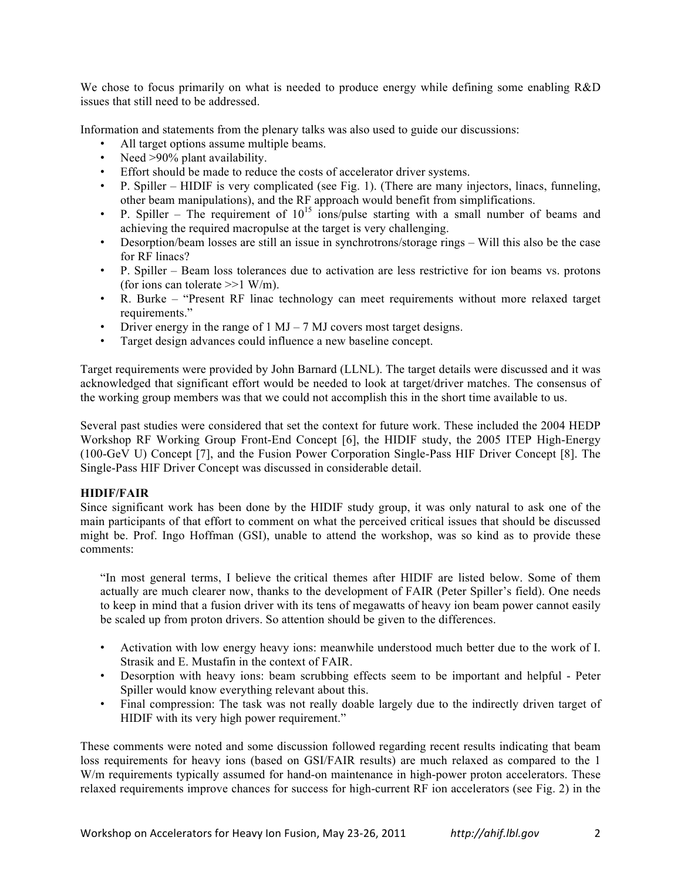We chose to focus primarily on what is needed to produce energy while defining some enabling R&D issues that still need to be addressed.

Information and statements from the plenary talks was also used to guide our discussions:

- All target options assume multiple beams.
- Need >90% plant availability.
- Effort should be made to reduce the costs of accelerator driver systems.
- P. Spiller HIDIF is very complicated (see Fig. 1). (There are many injectors, linacs, funneling, other beam manipulations), and the RF approach would benefit from simplifications.
- P. Spiller The requirement of  $10^{15}$  ions/pulse starting with a small number of beams and achieving the required macropulse at the target is very challenging.
- Desorption/beam losses are still an issue in synchrotrons/storage rings Will this also be the case for RF linacs?
- P. Spiller Beam loss tolerances due to activation are less restrictive for ion beams vs. protons (for ions can tolerate  $>>1$  W/m).
- R. Burke "Present RF linac technology can meet requirements without more relaxed target requirements."
- Driver energy in the range of  $1 \text{ MJ} 7 \text{ MJ}$  covers most target designs.
- Target design advances could influence a new baseline concept.

Target requirements were provided by John Barnard (LLNL). The target details were discussed and it was acknowledged that significant effort would be needed to look at target/driver matches. The consensus of the working group members was that we could not accomplish this in the short time available to us.

Several past studies were considered that set the context for future work. These included the 2004 HEDP Workshop RF Working Group Front-End Concept [6], the HIDIF study, the 2005 ITEP High-Energy (100-GeV U) Concept [7], and the Fusion Power Corporation Single-Pass HIF Driver Concept [8]. The Single-Pass HIF Driver Concept was discussed in considerable detail.

# **HIDIF/FAIR**

Since significant work has been done by the HIDIF study group, it was only natural to ask one of the main participants of that effort to comment on what the perceived critical issues that should be discussed might be. Prof. Ingo Hoffman (GSI), unable to attend the workshop, was so kind as to provide these comments:

"In most general terms, I believe the critical themes after HIDIF are listed below. Some of them actually are much clearer now, thanks to the development of FAIR (Peter Spiller's field). One needs to keep in mind that a fusion driver with its tens of megawatts of heavy ion beam power cannot easily be scaled up from proton drivers. So attention should be given to the differences.

- Activation with low energy heavy ions: meanwhile understood much better due to the work of I. Strasik and E. Mustafin in the context of FAIR.
- Desorption with heavy ions: beam scrubbing effects seem to be important and helpful Peter Spiller would know everything relevant about this.
- Final compression: The task was not really doable largely due to the indirectly driven target of HIDIF with its very high power requirement."

These comments were noted and some discussion followed regarding recent results indicating that beam loss requirements for heavy ions (based on GSI/FAIR results) are much relaxed as compared to the 1 W/m requirements typically assumed for hand-on maintenance in high-power proton accelerators. These relaxed requirements improve chances for success for high-current RF ion accelerators (see Fig. 2) in the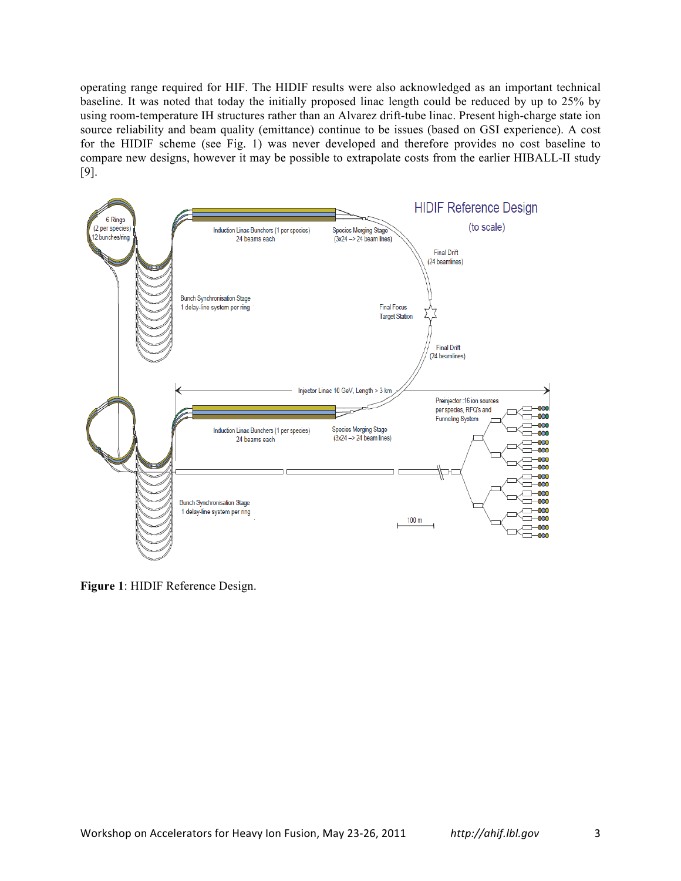operating range required for HIF. The HIDIF results were also acknowledged as an important technical baseline. It was noted that today the initially proposed linac length could be reduced by up to 25% by using room-temperature IH structures rather than an Alvarez drift-tube linac. Present high-charge state ion source reliability and beam quality (emittance) continue to be issues (based on GSI experience). A cost for the HIDIF scheme (see Fig. 1) was never developed and therefore provides no cost baseline to compare new designs, however it may be possible to extrapolate costs from the earlier HIBALL-II study [9].



**Figure 1**: HIDIF Reference Design.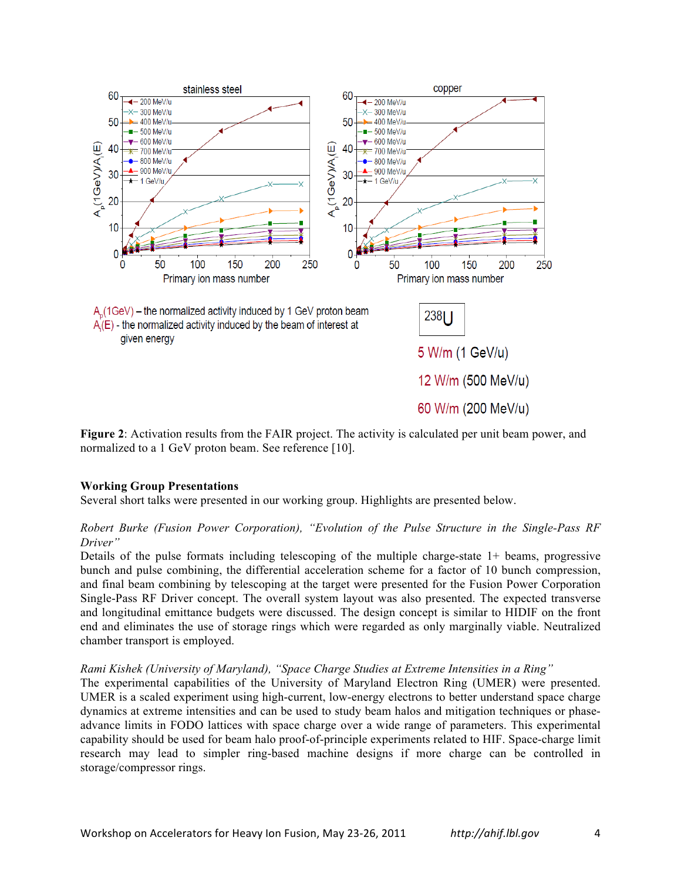

**Figure 2**: Activation results from the FAIR project. The activity is calculated per unit beam power, and normalized to a 1 GeV proton beam. See reference [10].

# **Working Group Presentations**

Several short talks were presented in our working group. Highlights are presented below.

# *Robert Burke (Fusion Power Corporation), "Evolution of the Pulse Structure in the Single-Pass RF Driver"*

Details of the pulse formats including telescoping of the multiple charge-state 1+ beams, progressive bunch and pulse combining, the differential acceleration scheme for a factor of 10 bunch compression, and final beam combining by telescoping at the target were presented for the Fusion Power Corporation Single-Pass RF Driver concept. The overall system layout was also presented. The expected transverse and longitudinal emittance budgets were discussed. The design concept is similar to HIDIF on the front end and eliminates the use of storage rings which were regarded as only marginally viable. Neutralized chamber transport is employed.

#### *Rami Kishek (University of Maryland), "Space Charge Studies at Extreme Intensities in a Ring"*

The experimental capabilities of the University of Maryland Electron Ring (UMER) were presented. UMER is a scaled experiment using high-current, low-energy electrons to better understand space charge dynamics at extreme intensities and can be used to study beam halos and mitigation techniques or phaseadvance limits in FODO lattices with space charge over a wide range of parameters. This experimental capability should be used for beam halo proof-of-principle experiments related to HIF. Space-charge limit research may lead to simpler ring-based machine designs if more charge can be controlled in storage/compressor rings.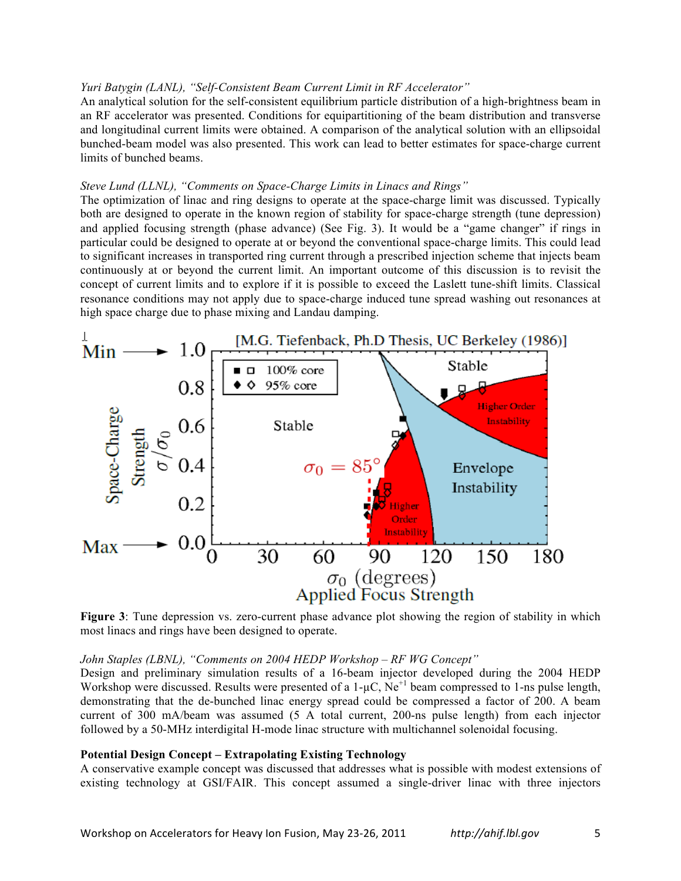### *Yuri Batygin (LANL), "Self-Consistent Beam Current Limit in RF Accelerator"*

An analytical solution for the self-consistent equilibrium particle distribution of a high-brightness beam in an RF accelerator was presented. Conditions for equipartitioning of the beam distribution and transverse and longitudinal current limits were obtained. A comparison of the analytical solution with an ellipsoidal bunched-beam model was also presented. This work can lead to better estimates for space-charge current limits of bunched beams.

# *Steve Lund (LLNL), "Comments on Space-Charge Limits in Linacs and Rings"*

The optimization of linac and ring designs to operate at the space-charge limit was discussed. Typically both are designed to operate in the known region of stability for space-charge strength (tune depression) and applied focusing strength (phase advance) (See Fig. 3). It would be a "game changer" if rings in particular could be designed to operate at or beyond the conventional space-charge limits. This could lead to significant increases in transported ring current through a prescribed injection scheme that injects beam continuously at or beyond the current limit. An important outcome of this discussion is to revisit the concept of current limits and to explore if it is possible to exceed the Laslett tune-shift limits. Classical resonance conditions may not apply due to space-charge induced tune spread washing out resonances at high space charge due to phase mixing and Landau damping.



**Figure 3**: Tune depression vs. zero-current phase advance plot showing the region of stability in which most linacs and rings have been designed to operate.

#### *John Staples (LBNL), "Comments on 2004 HEDP Workshop – RF WG Concept"*

Design and preliminary simulation results of a 16-beam injector developed during the 2004 HEDP Workshop were discussed. Results were presented of a  $1-\mu$ C, Ne<sup>+1</sup> beam compressed to 1-ns pulse length, demonstrating that the de-bunched linac energy spread could be compressed a factor of 200. A beam current of 300 mA/beam was assumed (5 A total current, 200-ns pulse length) from each injector followed by a 50-MHz interdigital H-mode linac structure with multichannel solenoidal focusing.

#### **Potential Design Concept – Extrapolating Existing Technology**

A conservative example concept was discussed that addresses what is possible with modest extensions of existing technology at GSI/FAIR. This concept assumed a single-driver linac with three injectors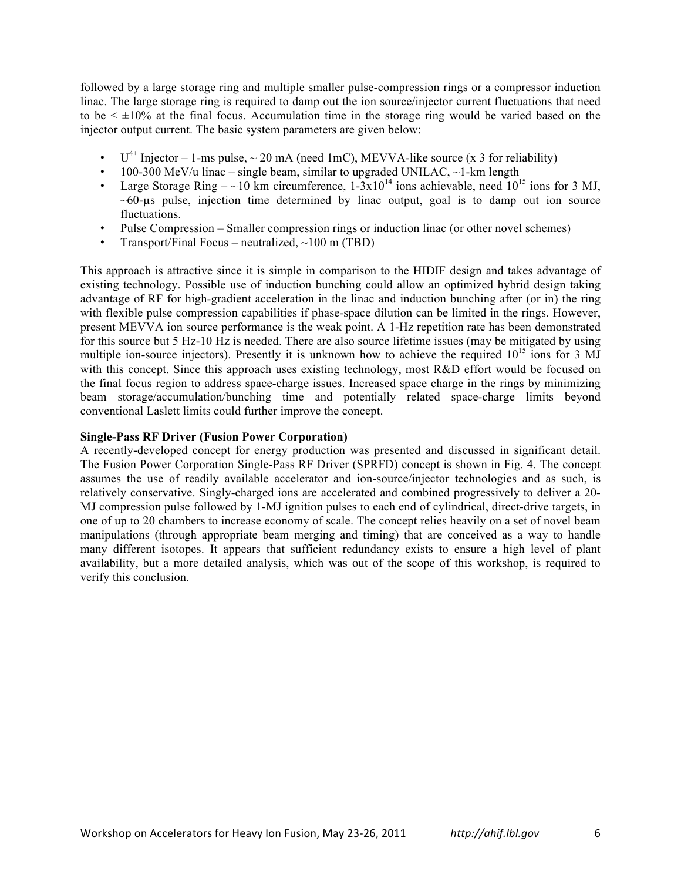followed by a large storage ring and multiple smaller pulse-compression rings or a compressor induction linac. The large storage ring is required to damp out the ion source/injector current fluctuations that need to be  $\leq \pm 10\%$  at the final focus. Accumulation time in the storage ring would be varied based on the injector output current. The basic system parameters are given below:

- $U^{4+}$  Injector 1-ms pulse,  $\sim$  20 mA (need 1mC), MEVVA-like source (x 3 for reliability)
- 100-300 MeV/u linac single beam, similar to upgraded UNILAC,  $\sim$ 1-km length
- Large Storage Ring ~10 km circumference,  $1-3x10^{14}$  ions achievable, need  $10^{15}$  ions for 3 MJ,  $~60$ -us pulse, injection time determined by linac output, goal is to damp out ion source fluctuations.
- Pulse Compression Smaller compression rings or induction linac (or other novel schemes)
- Transport/Final Focus neutralized,  $\sim$ 100 m (TBD)

This approach is attractive since it is simple in comparison to the HIDIF design and takes advantage of existing technology. Possible use of induction bunching could allow an optimized hybrid design taking advantage of RF for high-gradient acceleration in the linac and induction bunching after (or in) the ring with flexible pulse compression capabilities if phase-space dilution can be limited in the rings. However, present MEVVA ion source performance is the weak point. A 1-Hz repetition rate has been demonstrated for this source but 5 Hz-10 Hz is needed. There are also source lifetime issues (may be mitigated by using multiple ion-source injectors). Presently it is unknown how to achieve the required  $10^{15}$  ions for 3 MJ with this concept. Since this approach uses existing technology, most R&D effort would be focused on the final focus region to address space-charge issues. Increased space charge in the rings by minimizing beam storage/accumulation/bunching time and potentially related space-charge limits beyond conventional Laslett limits could further improve the concept.

# **Single-Pass RF Driver (Fusion Power Corporation)**

A recently-developed concept for energy production was presented and discussed in significant detail. The Fusion Power Corporation Single-Pass RF Driver (SPRFD) concept is shown in Fig. 4. The concept assumes the use of readily available accelerator and ion-source/injector technologies and as such, is relatively conservative. Singly-charged ions are accelerated and combined progressively to deliver a 20- MJ compression pulse followed by 1-MJ ignition pulses to each end of cylindrical, direct-drive targets, in one of up to 20 chambers to increase economy of scale. The concept relies heavily on a set of novel beam manipulations (through appropriate beam merging and timing) that are conceived as a way to handle many different isotopes. It appears that sufficient redundancy exists to ensure a high level of plant availability, but a more detailed analysis, which was out of the scope of this workshop, is required to verify this conclusion.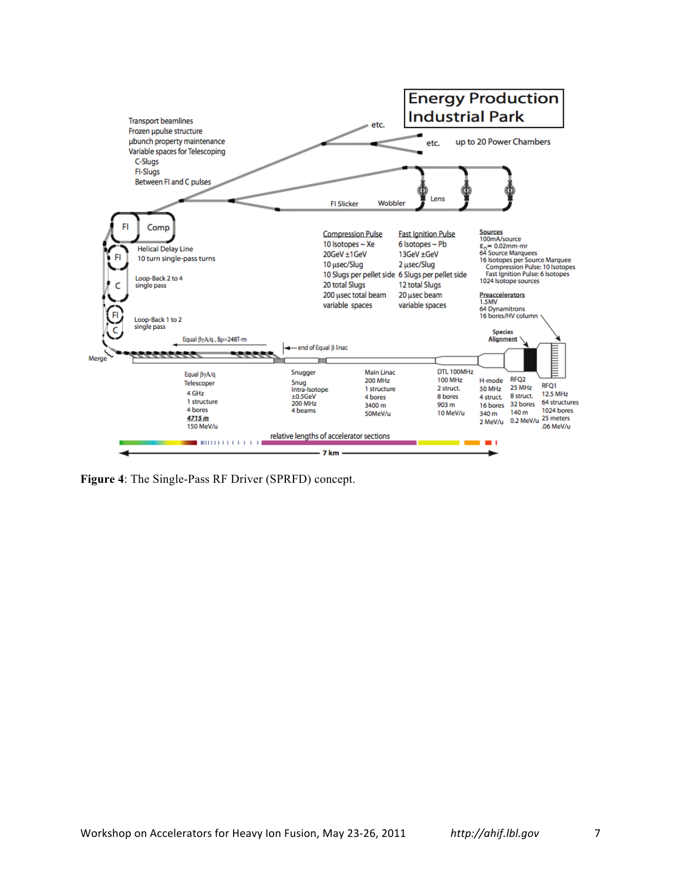

**Figure 4**: The Single-Pass RF Driver (SPRFD) concept.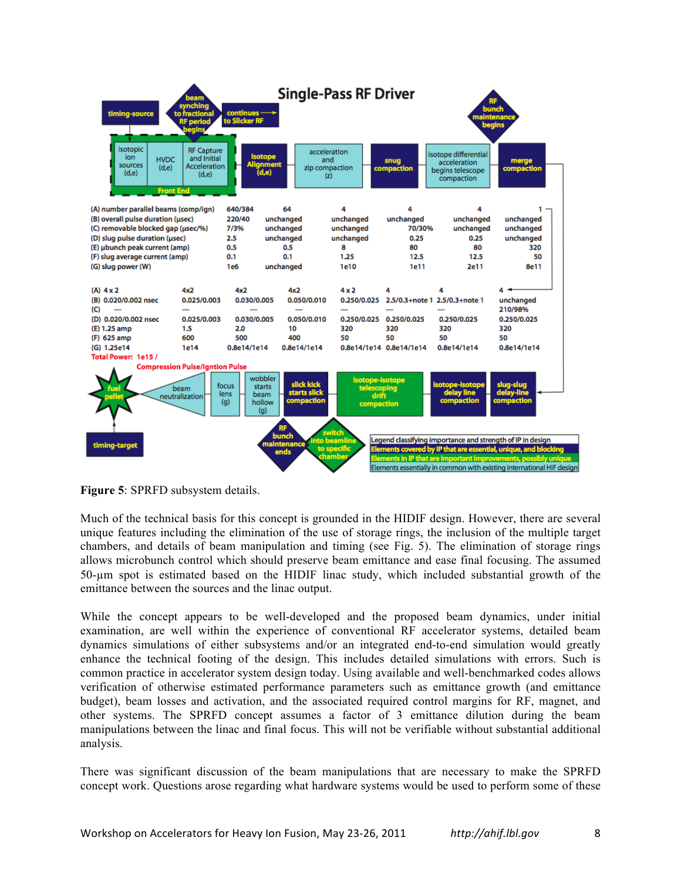

**Figure 5**: SPRFD subsystem details.

Much of the technical basis for this concept is grounded in the HIDIF design. However, there are several unique features including the elimination of the use of storage rings, the inclusion of the multiple target chambers, and details of beam manipulation and timing (see Fig. 5). The elimination of storage rings allows microbunch control which should preserve beam emittance and ease final focusing. The assumed 50-µm spot is estimated based on the HIDIF linac study, which included substantial growth of the emittance between the sources and the linac output.

While the concept appears to be well-developed and the proposed beam dynamics, under initial examination, are well within the experience of conventional RF accelerator systems, detailed beam dynamics simulations of either subsystems and/or an integrated end-to-end simulation would greatly enhance the technical footing of the design. This includes detailed simulations with errors. Such is common practice in accelerator system design today. Using available and well-benchmarked codes allows verification of otherwise estimated performance parameters such as emittance growth (and emittance budget), beam losses and activation, and the associated required control margins for RF, magnet, and other systems. The SPRFD concept assumes a factor of 3 emittance dilution during the beam manipulations between the linac and final focus. This will not be verifiable without substantial additional analysis.

There was significant discussion of the beam manipulations that are necessary to make the SPRFD concept work. Questions arose regarding what hardware systems would be used to perform some of these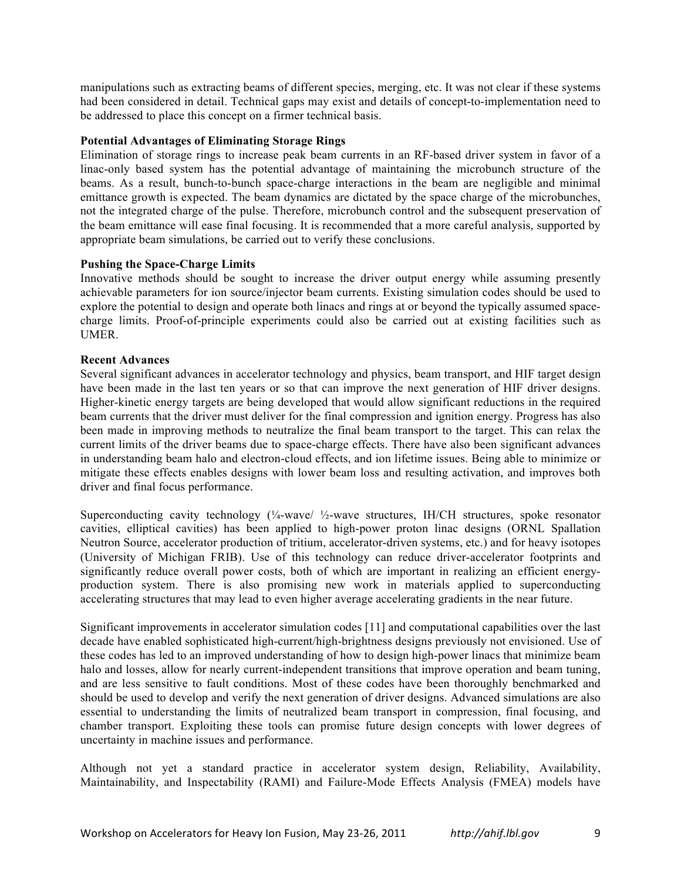manipulations such as extracting beams of different species, merging, etc. It was not clear if these systems had been considered in detail. Technical gaps may exist and details of concept-to-implementation need to be addressed to place this concept on a firmer technical basis.

## **Potential Advantages of Eliminating Storage Rings**

Elimination of storage rings to increase peak beam currents in an RF-based driver system in favor of a linac-only based system has the potential advantage of maintaining the microbunch structure of the beams. As a result, bunch-to-bunch space-charge interactions in the beam are negligible and minimal emittance growth is expected. The beam dynamics are dictated by the space charge of the microbunches, not the integrated charge of the pulse. Therefore, microbunch control and the subsequent preservation of the beam emittance will ease final focusing. It is recommended that a more careful analysis, supported by appropriate beam simulations, be carried out to verify these conclusions.

### **Pushing the Space-Charge Limits**

Innovative methods should be sought to increase the driver output energy while assuming presently achievable parameters for ion source/injector beam currents. Existing simulation codes should be used to explore the potential to design and operate both linacs and rings at or beyond the typically assumed spacecharge limits. Proof-of-principle experiments could also be carried out at existing facilities such as UMER.

### **Recent Advances**

Several significant advances in accelerator technology and physics, beam transport, and HIF target design have been made in the last ten years or so that can improve the next generation of HIF driver designs. Higher-kinetic energy targets are being developed that would allow significant reductions in the required beam currents that the driver must deliver for the final compression and ignition energy. Progress has also been made in improving methods to neutralize the final beam transport to the target. This can relax the current limits of the driver beams due to space-charge effects. There have also been significant advances in understanding beam halo and electron-cloud effects, and ion lifetime issues. Being able to minimize or mitigate these effects enables designs with lower beam loss and resulting activation, and improves both driver and final focus performance.

Superconducting cavity technology  $\frac{1}{4}$ -wave/  $\frac{1}{2}$ -wave structures, IH/CH structures, spoke resonator cavities, elliptical cavities) has been applied to high-power proton linac designs (ORNL Spallation Neutron Source, accelerator production of tritium, accelerator-driven systems, etc.) and for heavy isotopes (University of Michigan FRIB). Use of this technology can reduce driver-accelerator footprints and significantly reduce overall power costs, both of which are important in realizing an efficient energyproduction system. There is also promising new work in materials applied to superconducting accelerating structures that may lead to even higher average accelerating gradients in the near future.

Significant improvements in accelerator simulation codes [11] and computational capabilities over the last decade have enabled sophisticated high-current/high-brightness designs previously not envisioned. Use of these codes has led to an improved understanding of how to design high-power linacs that minimize beam halo and losses, allow for nearly current-independent transitions that improve operation and beam tuning, and are less sensitive to fault conditions. Most of these codes have been thoroughly benchmarked and should be used to develop and verify the next generation of driver designs. Advanced simulations are also essential to understanding the limits of neutralized beam transport in compression, final focusing, and chamber transport. Exploiting these tools can promise future design concepts with lower degrees of uncertainty in machine issues and performance.

Although not yet a standard practice in accelerator system design, Reliability, Availability, Maintainability, and Inspectability (RAMI) and Failure-Mode Effects Analysis (FMEA) models have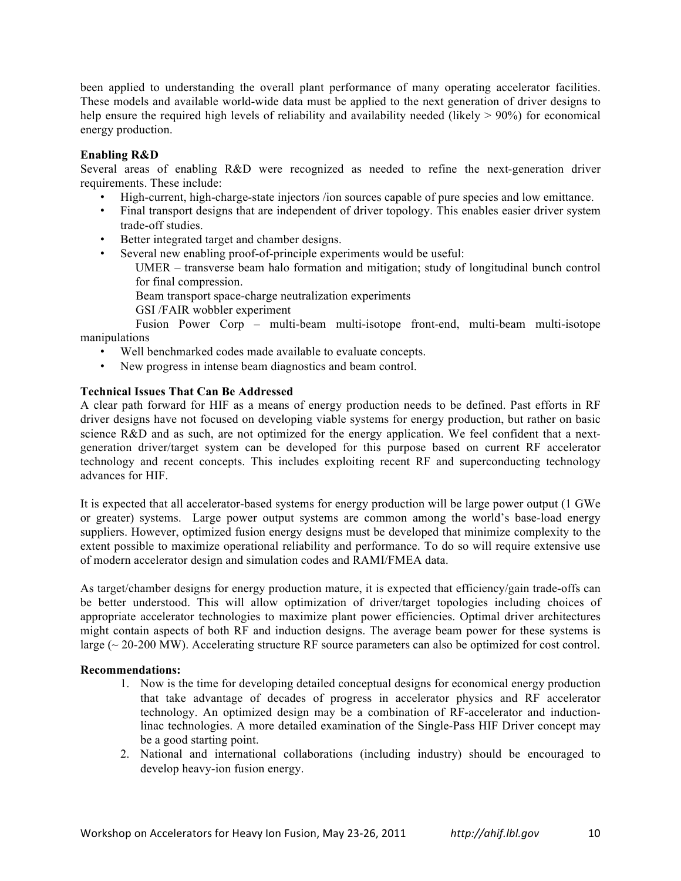been applied to understanding the overall plant performance of many operating accelerator facilities. These models and available world-wide data must be applied to the next generation of driver designs to help ensure the required high levels of reliability and availability needed (likely  $> 90\%$ ) for economical energy production.

# **Enabling R&D**

Several areas of enabling R&D were recognized as needed to refine the next-generation driver requirements. These include:

- High-current, high-charge-state injectors /ion sources capable of pure species and low emittance.
- Final transport designs that are independent of driver topology. This enables easier driver system trade-off studies.
- Better integrated target and chamber designs.
- Several new enabling proof-of-principle experiments would be useful:
	- UMER transverse beam halo formation and mitigation; study of longitudinal bunch control for final compression.
	- Beam transport space-charge neutralization experiments
	- GSI /FAIR wobbler experiment

 Fusion Power Corp – multi-beam multi-isotope front-end, multi-beam multi-isotope manipulations

- Well benchmarked codes made available to evaluate concepts.
- New progress in intense beam diagnostics and beam control.

# **Technical Issues That Can Be Addressed**

A clear path forward for HIF as a means of energy production needs to be defined. Past efforts in RF driver designs have not focused on developing viable systems for energy production, but rather on basic science R&D and as such, are not optimized for the energy application. We feel confident that a nextgeneration driver/target system can be developed for this purpose based on current RF accelerator technology and recent concepts. This includes exploiting recent RF and superconducting technology advances for HIF.

It is expected that all accelerator-based systems for energy production will be large power output (1 GWe or greater) systems. Large power output systems are common among the world's base-load energy suppliers. However, optimized fusion energy designs must be developed that minimize complexity to the extent possible to maximize operational reliability and performance. To do so will require extensive use of modern accelerator design and simulation codes and RAMI/FMEA data.

As target/chamber designs for energy production mature, it is expected that efficiency/gain trade-offs can be better understood. This will allow optimization of driver/target topologies including choices of appropriate accelerator technologies to maximize plant power efficiencies. Optimal driver architectures might contain aspects of both RF and induction designs. The average beam power for these systems is large (~ 20-200 MW). Accelerating structure RF source parameters can also be optimized for cost control.

# **Recommendations:**

- 1. Now is the time for developing detailed conceptual designs for economical energy production that take advantage of decades of progress in accelerator physics and RF accelerator technology. An optimized design may be a combination of RF-accelerator and inductionlinac technologies. A more detailed examination of the Single-Pass HIF Driver concept may be a good starting point.
- 2. National and international collaborations (including industry) should be encouraged to develop heavy-ion fusion energy.